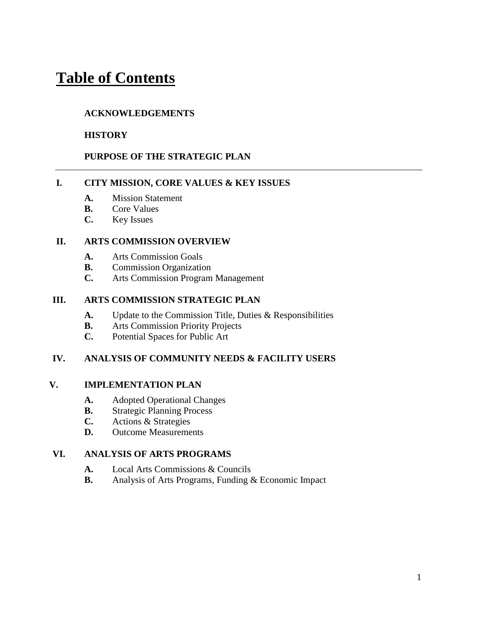# **Table of Contents**

#### **ACKNOWLEDGEMENTS**

#### **HISTORY**

#### **PURPOSE OF THE STRATEGIC PLAN**

#### **I. CITY MISSION, CORE VALUES & KEY ISSUES**

- **A.** Mission Statement
- **B.** Core Values
- **C.** Key Issues

#### **II. ARTS COMMISSION OVERVIEW**

- **A.** Arts Commission Goals
- **B.** Commission Organization
- **C.** Arts Commission Program Management

#### **III. ARTS COMMISSION STRATEGIC PLAN**

- **A.** Update to the Commission Title, Duties & Responsibilities
- **B.** Arts Commission Priority Projects
- **C.** Potential Spaces for Public Art

#### **IV. ANALYSIS OF COMMUNITY NEEDS & FACILITY USERS**

#### **V. IMPLEMENTATION PLAN**

- **A.** Adopted Operational Changes
- **B.** Strategic Planning Process
- **C.** Actions & Strategies
- **D.** Outcome Measurements

#### **VI. ANALYSIS OF ARTS PROGRAMS**

- **A.** Local Arts Commissions & Councils
- **B.** Analysis of Arts Programs, Funding & Economic Impact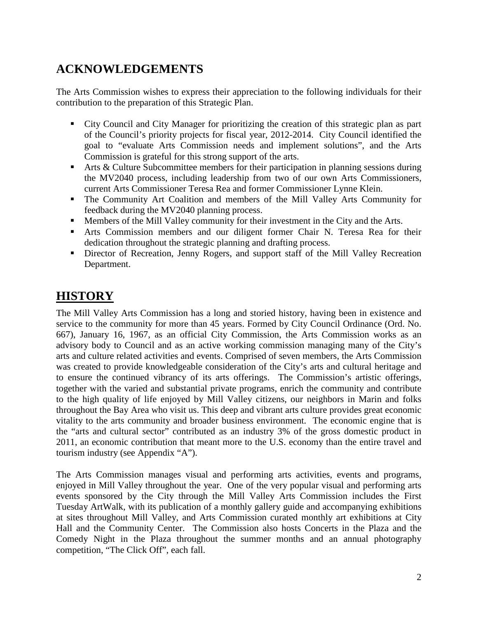## **ACKNOWLEDGEMENTS**

The Arts Commission wishes to express their appreciation to the following individuals for their contribution to the preparation of this Strategic Plan.

- City Council and City Manager for prioritizing the creation of this strategic plan as part of the Council's priority projects for fiscal year, 2012-2014. City Council identified the goal to "evaluate Arts Commission needs and implement solutions", and the Arts Commission is grateful for this strong support of the arts.
- Arts & Culture Subcommittee members for their participation in planning sessions during the MV2040 process, including leadership from two of our own Arts Commissioners, current Arts Commissioner Teresa Rea and former Commissioner Lynne Klein.
- The Community Art Coalition and members of the Mill Valley Arts Community for feedback during the MV2040 planning process.
- Members of the Mill Valley community for their investment in the City and the Arts.
- Arts Commission members and our diligent former Chair N. Teresa Rea for their dedication throughout the strategic planning and drafting process.
- Director of Recreation, Jenny Rogers, and support staff of the Mill Valley Recreation Department.

## **HISTORY**

The Mill Valley Arts Commission has a long and storied history, having been in existence and service to the community for more than 45 years. Formed by City Council Ordinance (Ord. No. 667), January 16, 1967, as an official City Commission, the Arts Commission works as an advisory body to Council and as an active working commission managing many of the City's arts and culture related activities and events. Comprised of seven members, the Arts Commission was created to provide knowledgeable consideration of the City's arts and cultural heritage and to ensure the continued vibrancy of its arts offerings. The Commission's artistic offerings, together with the varied and substantial private programs, enrich the community and contribute to the high quality of life enjoyed by Mill Valley citizens, our neighbors in Marin and folks throughout the Bay Area who visit us. This deep and vibrant arts culture provides great economic vitality to the arts community and broader business environment. The economic engine that is the "arts and cultural sector" contributed as an industry 3% of the gross domestic product in 2011, an economic contribution that meant more to the U.S. economy than the entire travel and tourism industry (see Appendix "A").

The Arts Commission manages visual and performing arts activities, events and programs, enjoyed in Mill Valley throughout the year. One of the very popular visual and performing arts events sponsored by the City through the Mill Valley Arts Commission includes the First Tuesday ArtWalk, with its publication of a monthly gallery guide and accompanying exhibitions at sites throughout Mill Valley, and Arts Commission curated monthly art exhibitions at City Hall and the Community Center. The Commission also hosts Concerts in the Plaza and the Comedy Night in the Plaza throughout the summer months and an annual photography competition, "The Click Off", each fall.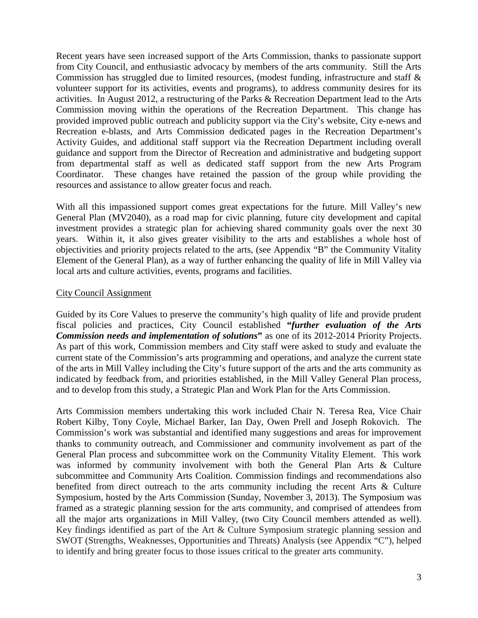Recent years have seen increased support of the Arts Commission, thanks to passionate support from City Council, and enthusiastic advocacy by members of the arts community. Still the Arts Commission has struggled due to limited resources, (modest funding, infrastructure and staff & volunteer support for its activities, events and programs), to address community desires for its activities. In August 2012, a restructuring of the Parks & Recreation Department lead to the Arts Commission moving within the operations of the Recreation Department. This change has provided improved public outreach and publicity support via the City's website, City e-news and Recreation e-blasts, and Arts Commission dedicated pages in the Recreation Department's Activity Guides, and additional staff support via the Recreation Department including overall guidance and support from the Director of Recreation and administrative and budgeting support from departmental staff as well as dedicated staff support from the new Arts Program Coordinator. These changes have retained the passion of the group while providing the resources and assistance to allow greater focus and reach.

With all this impassioned support comes great expectations for the future. Mill Valley's new General Plan (MV2040), as a road map for civic planning, future city development and capital investment provides a strategic plan for achieving shared community goals over the next 30 years. Within it, it also gives greater visibility to the arts and establishes a whole host of objectivities and priority projects related to the arts, (see Appendix "B" the Community Vitality Element of the General Plan), as a way of further enhancing the quality of life in Mill Valley via local arts and culture activities, events, programs and facilities.

#### City Council Assignment

Guided by its Core Values to preserve the community's high quality of life and provide prudent fiscal policies and practices, City Council established **"***further evaluation of the Arts Commission needs and implementation of solutions***"** as one of its 2012-2014 Priority Projects. As part of this work, Commission members and City staff were asked to study and evaluate the current state of the Commission's arts programming and operations, and analyze the current state of the arts in Mill Valley including the City's future support of the arts and the arts community as indicated by feedback from, and priorities established, in the Mill Valley General Plan process, and to develop from this study, a Strategic Plan and Work Plan for the Arts Commission.

Arts Commission members undertaking this work included Chair N. Teresa Rea, Vice Chair Robert Kilby, Tony Coyle, Michael Barker, Ian Day, Owen Prell and Joseph Rokovich. The Commission's work was substantial and identified many suggestions and areas for improvement thanks to community outreach, and Commissioner and community involvement as part of the General Plan process and subcommittee work on the Community Vitality Element. This work was informed by community involvement with both the General Plan Arts & Culture subcommittee and Community Arts Coalition. Commission findings and recommendations also benefited from direct outreach to the arts community including the recent Arts & Culture Symposium, hosted by the Arts Commission (Sunday, November 3, 2013). The Symposium was framed as a strategic planning session for the arts community, and comprised of attendees from all the major arts organizations in Mill Valley, (two City Council members attended as well). Key findings identified as part of the Art & Culture Symposium strategic planning session and SWOT (Strengths, Weaknesses, Opportunities and Threats) Analysis (see Appendix "C"), helped to identify and bring greater focus to those issues critical to the greater arts community.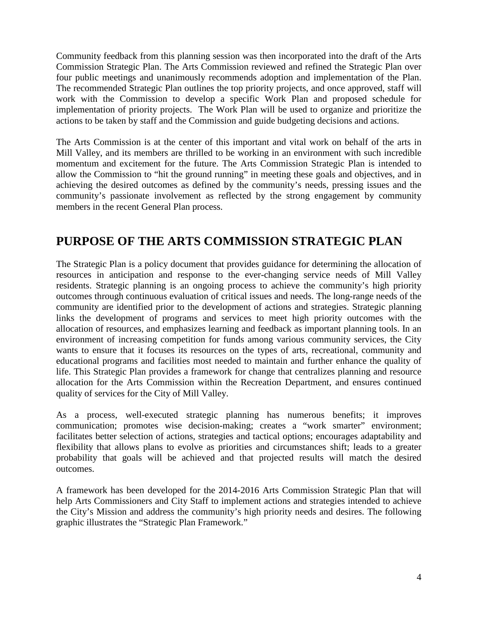Community feedback from this planning session was then incorporated into the draft of the Arts Commission Strategic Plan. The Arts Commission reviewed and refined the Strategic Plan over four public meetings and unanimously recommends adoption and implementation of the Plan. The recommended Strategic Plan outlines the top priority projects, and once approved, staff will work with the Commission to develop a specific Work Plan and proposed schedule for implementation of priority projects. The Work Plan will be used to organize and prioritize the actions to be taken by staff and the Commission and guide budgeting decisions and actions.

The Arts Commission is at the center of this important and vital work on behalf of the arts in Mill Valley, and its members are thrilled to be working in an environment with such incredible momentum and excitement for the future. The Arts Commission Strategic Plan is intended to allow the Commission to "hit the ground running" in meeting these goals and objectives, and in achieving the desired outcomes as defined by the community's needs, pressing issues and the community's passionate involvement as reflected by the strong engagement by community members in the recent General Plan process.

## **PURPOSE OF THE ARTS COMMISSION STRATEGIC PLAN**

The Strategic Plan is a policy document that provides guidance for determining the allocation of resources in anticipation and response to the ever-changing service needs of Mill Valley residents. Strategic planning is an ongoing process to achieve the community's high priority outcomes through continuous evaluation of critical issues and needs. The long-range needs of the community are identified prior to the development of actions and strategies. Strategic planning links the development of programs and services to meet high priority outcomes with the allocation of resources, and emphasizes learning and feedback as important planning tools. In an environment of increasing competition for funds among various community services, the City wants to ensure that it focuses its resources on the types of arts, recreational, community and educational programs and facilities most needed to maintain and further enhance the quality of life. This Strategic Plan provides a framework for change that centralizes planning and resource allocation for the Arts Commission within the Recreation Department, and ensures continued quality of services for the City of Mill Valley.

As a process, well-executed strategic planning has numerous benefits; it improves communication; promotes wise decision-making; creates a "work smarter" environment; facilitates better selection of actions, strategies and tactical options; encourages adaptability and flexibility that allows plans to evolve as priorities and circumstances shift; leads to a greater probability that goals will be achieved and that projected results will match the desired outcomes.

A framework has been developed for the 2014-2016 Arts Commission Strategic Plan that will help Arts Commissioners and City Staff to implement actions and strategies intended to achieve the City's Mission and address the community's high priority needs and desires. The following graphic illustrates the "Strategic Plan Framework."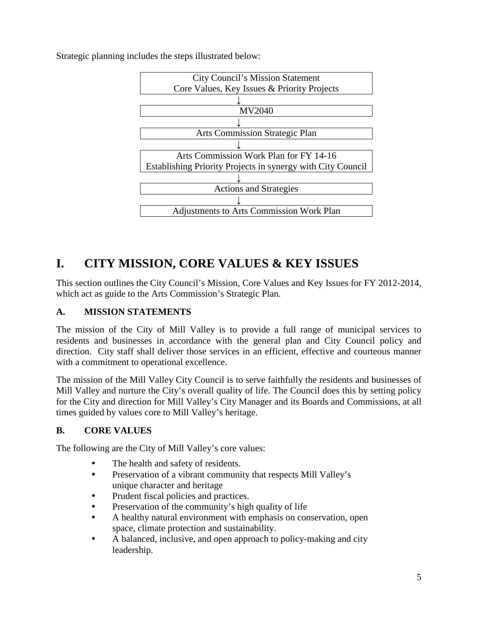

Strategic planning includes the steps illustrated below:

## **I. CITY MISSION, CORE VALUES & KEY ISSUES**

This section outlines the City Council's Mission, Core Values and Key Issues for FY 2012-2014, which act as guide to the Arts Commission's Strategic Plan.

## **A. MISSION STATEMENTS**

The mission of the City of Mill Valley is to provide a full range of municipal services to residents and businesses in accordance with the general plan and City Council policy and direction. City staff shall deliver those services in an efficient, effective and courteous manner with a commitment to operational excellence.

The mission of the Mill Valley City Council is to serve faithfully the residents and businesses of Mill Valley and nurture the City's overall quality of life. The Council does this by setting policy for the City and direction for Mill Valley's City Manager and its Boards and Commissions, at all times guided by values core to Mill Valley's heritage.

## **B. CORE VALUES**

The following are the City of Mill Valley's core values:

- The health and safety of residents.
- Preservation of a vibrant community that respects Mill Valley's unique character and heritage
- Prudent fiscal policies and practices.
- Preservation of the community's high quality of life
- A healthy natural environment with emphasis on conservation, open space, climate protection and sustainability.
- A balanced, inclusive, and open approach to policy-making and city leadership.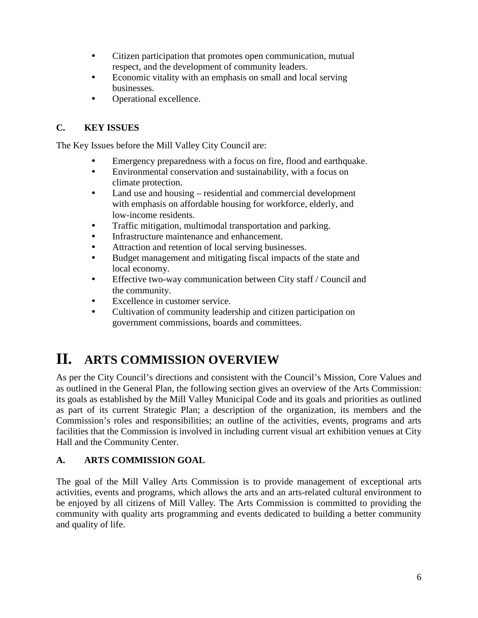- Citizen participation that promotes open communication, mutual respect, and the development of community leaders.
- Economic vitality with an emphasis on small and local serving businesses.
- Operational excellence.

## **C. KEY ISSUES**

The Key Issues before the Mill Valley City Council are:

- Emergency preparedness with a focus on fire, flood and earthquake.
- Environmental conservation and sustainability, with a focus on climate protection.
- Land use and housing residential and commercial development with emphasis on affordable housing for workforce, elderly, and low-income residents.
- Traffic mitigation, multimodal transportation and parking.
- Infrastructure maintenance and enhancement.
- Attraction and retention of local serving businesses.
- Budget management and mitigating fiscal impacts of the state and local economy.
- Effective two-way communication between City staff / Council and the community.
- Excellence in customer service.
- Cultivation of community leadership and citizen participation on government commissions, boards and committees.

# **II. ARTS COMMISSION OVERVIEW**

As per the City Council's directions and consistent with the Council's Mission, Core Values and as outlined in the General Plan, the following section gives an overview of the Arts Commission: its goals as established by the Mill Valley Municipal Code and its goals and priorities as outlined as part of its current Strategic Plan; a description of the organization, its members and the Commission's roles and responsibilities; an outline of the activities, events, programs and arts facilities that the Commission is involved in including current visual art exhibition venues at City Hall and the Community Center.

## **A. ARTS COMMISSION GOAL**

The goal of the Mill Valley Arts Commission is to provide management of exceptional arts activities, events and programs, which allows the arts and an arts-related cultural environment to be enjoyed by all citizens of Mill Valley. The Arts Commission is committed to providing the community with quality arts programming and events dedicated to building a better community and quality of life.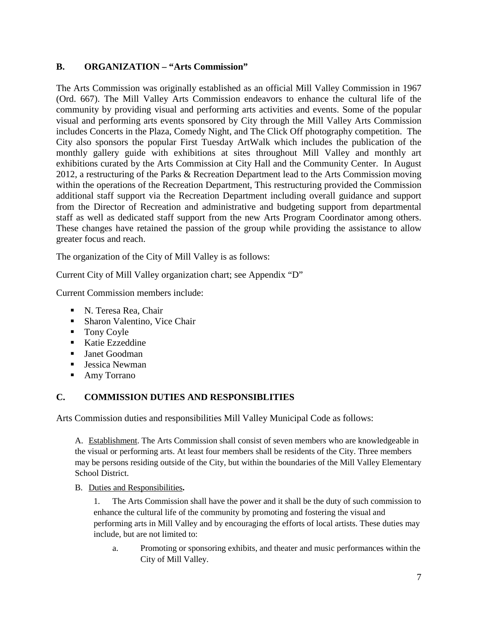#### **B. ORGANIZATION – "Arts Commission"**

The Arts Commission was originally established as an official Mill Valley Commission in 1967 (Ord. 667). The Mill Valley Arts Commission endeavors to enhance the cultural life of the community by providing visual and performing arts activities and events. Some of the popular visual and performing arts events sponsored by City through the Mill Valley Arts Commission includes Concerts in the Plaza, Comedy Night, and The Click Off photography competition. The City also sponsors the popular First Tuesday ArtWalk which includes the publication of the monthly gallery guide with exhibitions at sites throughout Mill Valley and monthly art exhibitions curated by the Arts Commission at City Hall and the Community Center. In August 2012, a restructuring of the Parks & Recreation Department lead to the Arts Commission moving within the operations of the Recreation Department, This restructuring provided the Commission additional staff support via the Recreation Department including overall guidance and support from the Director of Recreation and administrative and budgeting support from departmental staff as well as dedicated staff support from the new Arts Program Coordinator among others. These changes have retained the passion of the group while providing the assistance to allow greater focus and reach.

The organization of the City of Mill Valley is as follows:

Current City of Mill Valley organization chart; see Appendix "D"

Current Commission members include:

- N. Teresa Rea, Chair
- **Sharon Valentino, Vice Chair**
- **Tony Coyle**
- Katie Ezzeddine
- Janet Goodman
- Jessica Newman
- Amy Torrano

## **C. COMMISSION DUTIES AND RESPONSIBLITIES**

Arts Commission duties and responsibilities Mill Valley Municipal Code as follows:

A. Establishment. The Arts Commission shall consist of seven members who are knowledgeable in the visual or performing arts. At least four members shall be residents of the City. Three members may be persons residing outside of the City, but within the boundaries of the Mill Valley Elementary School District.

B. Duties and Responsibilities**.**

1. The Arts Commission shall have the power and it shall be the duty of such commission to enhance the cultural life of the community by promoting and fostering the visual and performing arts in Mill Valley and by encouraging the efforts of local artists. These duties may include, but are not limited to:

a. Promoting or sponsoring exhibits, and theater and music performances within the City of Mill Valley.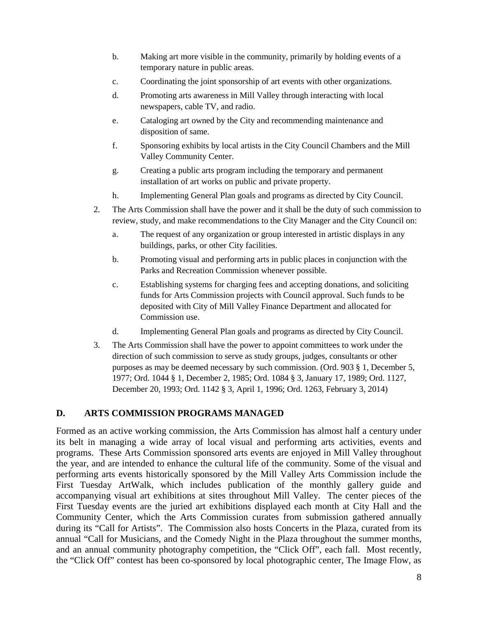- b. Making art more visible in the community, primarily by holding events of a temporary nature in public areas.
- c. Coordinating the joint sponsorship of art events with other organizations.
- d. Promoting arts awareness in Mill Valley through interacting with local newspapers, cable TV, and radio.
- e. Cataloging art owned by the City and recommending maintenance and disposition of same.
- f. Sponsoring exhibits by local artists in the City Council Chambers and the Mill Valley Community Center.
- g. Creating a public arts program including the temporary and permanent installation of art works on public and private property.
- h. Implementing General Plan goals and programs as directed by City Council.
- 2. The Arts Commission shall have the power and it shall be the duty of such commission to review, study, and make recommendations to the City Manager and the City Council on:
	- a. The request of any organization or group interested in artistic displays in any buildings, parks, or other City facilities.
	- b. Promoting visual and performing arts in public places in conjunction with the Parks and Recreation Commission whenever possible.
	- c. Establishing systems for charging fees and accepting donations, and soliciting funds for Arts Commission projects with Council approval. Such funds to be deposited with City of Mill Valley Finance Department and allocated for Commission use.
	- d. Implementing General Plan goals and programs as directed by City Council.
- 3. The Arts Commission shall have the power to appoint committees to work under the direction of such commission to serve as study groups, judges, consultants or other purposes as may be deemed necessary by such commission. (Ord. 903 § 1, December 5, 1977; Ord. 1044 § 1, December 2, 1985; Ord. 1084 § 3, January 17, 1989; Ord. 1127, December 20, 1993; Ord. 1142 § 3, April 1, 1996; Ord. 1263, February 3, 2014)

#### **D. ARTS COMMISSION PROGRAMS MANAGED**

Formed as an active working commission, the Arts Commission has almost half a century under its belt in managing a wide array of local visual and performing arts activities, events and programs. These Arts Commission sponsored arts events are enjoyed in Mill Valley throughout the year, and are intended to enhance the cultural life of the community. Some of the visual and performing arts events historically sponsored by the Mill Valley Arts Commission include the First Tuesday ArtWalk, which includes publication of the monthly gallery guide and accompanying visual art exhibitions at sites throughout Mill Valley. The center pieces of the First Tuesday events are the juried art exhibitions displayed each month at City Hall and the Community Center, which the Arts Commission curates from submission gathered annually during its "Call for Artists". The Commission also hosts Concerts in the Plaza, curated from its annual "Call for Musicians, and the Comedy Night in the Plaza throughout the summer months, and an annual community photography competition, the "Click Off", each fall. Most recently, the "Click Off" contest has been co-sponsored by local photographic center, The Image Flow, as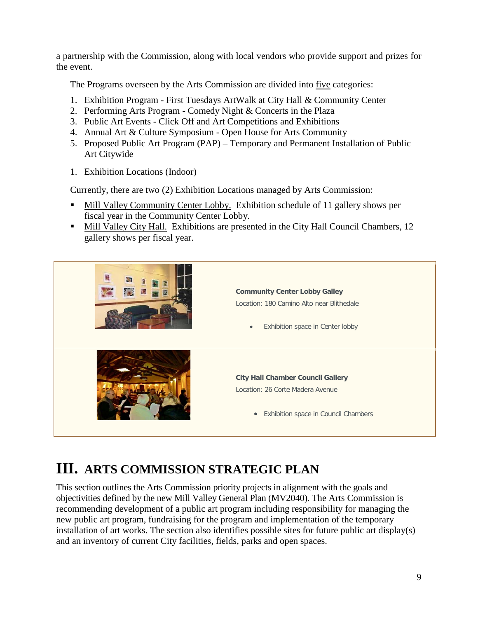a partnership with the Commission, along with local vendors who provide support and prizes for the event.

The Programs overseen by the Arts Commission are divided into five categories:

- 1. Exhibition Program First Tuesdays ArtWalk at City Hall & Community Center
- 2. Performing Arts Program Comedy Night & Concerts in the Plaza
- 3. Public Art Events Click Off and Art Competitions and Exhibitions
- 4. Annual Art & Culture Symposium Open House for Arts Community
- 5. Proposed Public Art Program (PAP) Temporary and Permanent Installation of Public Art Citywide
- 1. Exhibition Locations (Indoor)

Currently, there are two (2) Exhibition Locations managed by Arts Commission:

- Mill Valley Community Center Lobby. Exhibition schedule of 11 gallery shows per fiscal year in the Community Center Lobby.
- Mill Valley City Hall. Exhibitions are presented in the City Hall Council Chambers, 12 gallery shows per fiscal year.



# **III. ARTS COMMISSION STRATEGIC PLAN**

This section outlines the Arts Commission priority projects in alignment with the goals and objectivities defined by the new Mill Valley General Plan (MV2040). The Arts Commission is recommending development of a public art program including responsibility for managing the new public art program, fundraising for the program and implementation of the temporary installation of art works. The section also identifies possible sites for future public art display(s) and an inventory of current City facilities, fields, parks and open spaces.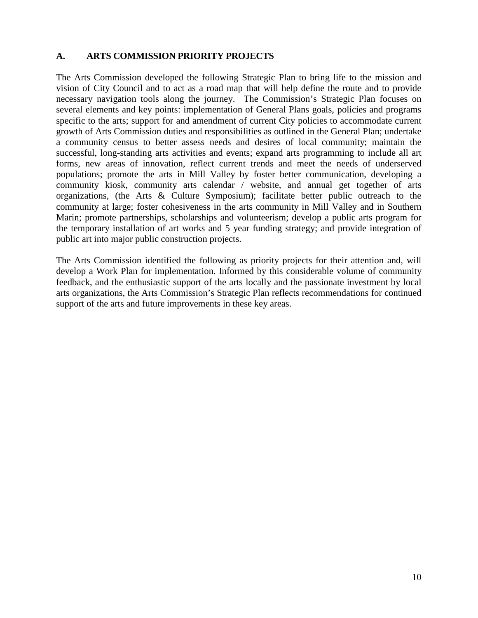#### **A. ARTS COMMISSION PRIORITY PROJECTS**

The Arts Commission developed the following Strategic Plan to bring life to the mission and vision of City Council and to act as a road map that will help define the route and to provide necessary navigation tools along the journey. The Commission's Strategic Plan focuses on several elements and key points: implementation of General Plans goals, policies and programs specific to the arts; support for and amendment of current City policies to accommodate current growth of Arts Commission duties and responsibilities as outlined in the General Plan; undertake a community census to better assess needs and desires of local community; maintain the successful, long-standing arts activities and events; expand arts programming to include all art forms, new areas of innovation, reflect current trends and meet the needs of underserved populations; promote the arts in Mill Valley by foster better communication, developing a community kiosk, community arts calendar / website, and annual get together of arts organizations, (the Arts & Culture Symposium); facilitate better public outreach to the community at large; foster cohesiveness in the arts community in Mill Valley and in Southern Marin; promote partnerships, scholarships and volunteerism; develop a public arts program for the temporary installation of art works and 5 year funding strategy; and provide integration of public art into major public construction projects.

The Arts Commission identified the following as priority projects for their attention and, will develop a Work Plan for implementation. Informed by this considerable volume of community feedback, and the enthusiastic support of the arts locally and the passionate investment by local arts organizations, the Arts Commission's Strategic Plan reflects recommendations for continued support of the arts and future improvements in these key areas.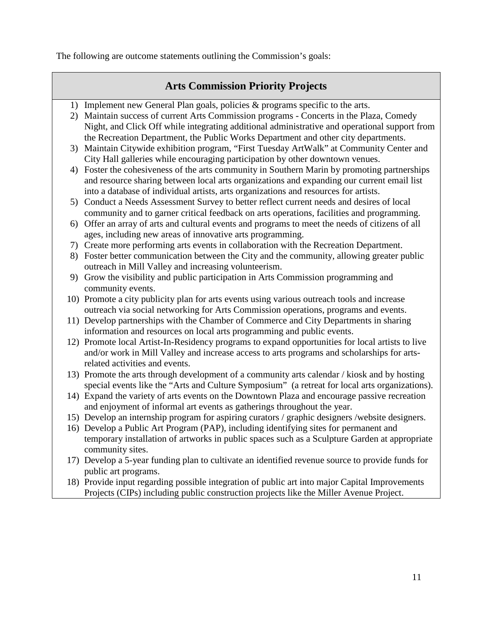The following are outcome statements outlining the Commission's goals:

## **Arts Commission Priority Projects**

- 1) Implement new General Plan goals, policies & programs specific to the arts.
- 2) Maintain success of current Arts Commission programs Concerts in the Plaza, Comedy Night, and Click Off while integrating additional administrative and operational support from the Recreation Department, the Public Works Department and other city departments.
- 3) Maintain Citywide exhibition program, "First Tuesday ArtWalk" at Community Center and City Hall galleries while encouraging participation by other downtown venues.
- 4) Foster the cohesiveness of the arts community in Southern Marin by promoting partnerships and resource sharing between local arts organizations and expanding our current email list into a database of individual artists, arts organizations and resources for artists.
- 5) Conduct a Needs Assessment Survey to better reflect current needs and desires of local community and to garner critical feedback on arts operations, facilities and programming.
- 6) Offer an array of arts and cultural events and programs to meet the needs of citizens of all ages, including new areas of innovative arts programming.
- 7) Create more performing arts events in collaboration with the Recreation Department.
- 8) Foster better communication between the City and the community, allowing greater public outreach in Mill Valley and increasing volunteerism.
- 9) Grow the visibility and public participation in Arts Commission programming and community events.
- 10) Promote a city publicity plan for arts events using various outreach tools and increase outreach via social networking for Arts Commission operations, programs and events.
- 11) Develop partnerships with the Chamber of Commerce and City Departments in sharing information and resources on local arts programming and public events.
- 12) Promote local Artist-In-Residency programs to expand opportunities for local artists to live and/or work in Mill Valley and increase access to arts programs and scholarships for artsrelated activities and events.
- 13) Promote the arts through development of a community arts calendar / kiosk and by hosting special events like the "Arts and Culture Symposium" (a retreat for local arts organizations).
- 14) Expand the variety of arts events on the Downtown Plaza and encourage passive recreation and enjoyment of informal art events as gatherings throughout the year.
- 15) Develop an internship program for aspiring curators / graphic designers /website designers.
- 16) Develop a Public Art Program (PAP), including identifying sites for permanent and temporary installation of artworks in public spaces such as a Sculpture Garden at appropriate community sites.
- 17) Develop a 5-year funding plan to cultivate an identified revenue source to provide funds for public art programs.
- 18) Provide input regarding possible integration of public art into major Capital Improvements Projects (CIPs) including public construction projects like the Miller Avenue Project.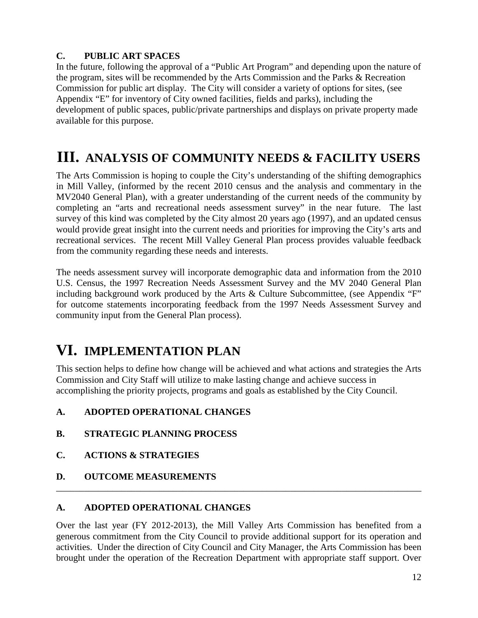## **C. PUBLIC ART SPACES**

In the future, following the approval of a "Public Art Program" and depending upon the nature of the program, sites will be recommended by the Arts Commission and the Parks & Recreation Commission for public art display. The City will consider a variety of options for sites, (see Appendix "E" for inventory of City owned facilities, fields and parks), including the development of public spaces, public/private partnerships and displays on private property made available for this purpose.

# **III. ANALYSIS OF COMMUNITY NEEDS & FACILITY USERS**

The Arts Commission is hoping to couple the City's understanding of the shifting demographics in Mill Valley, (informed by the recent 2010 census and the analysis and commentary in the MV2040 General Plan), with a greater understanding of the current needs of the community by completing an "arts and recreational needs assessment survey" in the near future. The last survey of this kind was completed by the City almost 20 years ago (1997), and an updated census would provide great insight into the current needs and priorities for improving the City's arts and recreational services. The recent Mill Valley General Plan process provides valuable feedback from the community regarding these needs and interests.

The needs assessment survey will incorporate demographic data and information from the 2010 U.S. Census, the 1997 Recreation Needs Assessment Survey and the MV 2040 General Plan including background work produced by the Arts & Culture Subcommittee, (see Appendix "F" for outcome statements incorporating feedback from the 1997 Needs Assessment Survey and community input from the General Plan process).

# **VI. IMPLEMENTATION PLAN**

This section helps to define how change will be achieved and what actions and strategies the Arts Commission and City Staff will utilize to make lasting change and achieve success in accomplishing the priority projects, programs and goals as established by the City Council.

## **A. ADOPTED OPERATIONAL CHANGES**

- **B. STRATEGIC PLANNING PROCESS**
- **C. ACTIONS & STRATEGIES**
- **D. OUTCOME MEASUREMENTS**

#### **A. ADOPTED OPERATIONAL CHANGES**

Over the last year (FY 2012-2013), the Mill Valley Arts Commission has benefited from a generous commitment from the City Council to provide additional support for its operation and activities. Under the direction of City Council and City Manager, the Arts Commission has been brought under the operation of the Recreation Department with appropriate staff support. Over

\_\_\_\_\_\_\_\_\_\_\_\_\_\_\_\_\_\_\_\_\_\_\_\_\_\_\_\_\_\_\_\_\_\_\_\_\_\_\_\_\_\_\_\_\_\_\_\_\_\_\_\_\_\_\_\_\_\_\_\_\_\_\_\_\_\_\_\_\_\_\_\_\_\_\_\_\_\_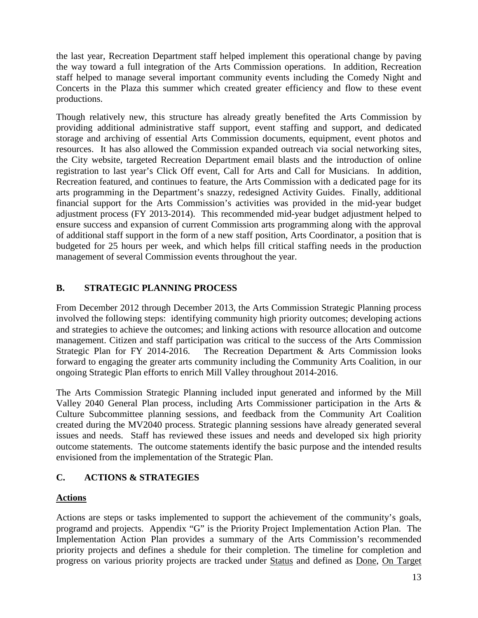the last year, Recreation Department staff helped implement this operational change by paving the way toward a full integration of the Arts Commission operations. In addition, Recreation staff helped to manage several important community events including the Comedy Night and Concerts in the Plaza this summer which created greater efficiency and flow to these event productions.

Though relatively new, this structure has already greatly benefited the Arts Commission by providing additional administrative staff support, event staffing and support, and dedicated storage and archiving of essential Arts Commission documents, equipment, event photos and resources. It has also allowed the Commission expanded outreach via social networking sites, the City website, targeted Recreation Department email blasts and the introduction of online registration to last year's Click Off event, Call for Arts and Call for Musicians. In addition, Recreation featured, and continues to feature, the Arts Commission with a dedicated page for its arts programming in the Department's snazzy, redesigned Activity Guides. Finally, additional financial support for the Arts Commission's activities was provided in the mid-year budget adjustment process (FY 2013-2014). This recommended mid-year budget adjustment helped to ensure success and expansion of current Commission arts programming along with the approval of additional staff support in the form of a new staff position, Arts Coordinator, a position that is budgeted for 25 hours per week, and which helps fill critical staffing needs in the production management of several Commission events throughout the year.

## **B. STRATEGIC PLANNING PROCESS**

From December 2012 through December 2013, the Arts Commission Strategic Planning process involved the following steps: identifying community high priority outcomes; developing actions and strategies to achieve the outcomes; and linking actions with resource allocation and outcome management. Citizen and staff participation was critical to the success of the Arts Commission Strategic Plan for FY 2014-2016. The Recreation Department & Arts Commission looks forward to engaging the greater arts community including the Community Arts Coalition, in our ongoing Strategic Plan efforts to enrich Mill Valley throughout 2014-2016.

The Arts Commission Strategic Planning included input generated and informed by the Mill Valley 2040 General Plan process, including Arts Commissioner participation in the Arts & Culture Subcommittee planning sessions, and feedback from the Community Art Coalition created during the MV2040 process. Strategic planning sessions have already generated several issues and needs. Staff has reviewed these issues and needs and developed six high priority outcome statements. The outcome statements identify the basic purpose and the intended results envisioned from the implementation of the Strategic Plan.

## **C. ACTIONS & STRATEGIES**

## **Actions**

Actions are steps or tasks implemented to support the achievement of the community's goals, programd and projects. Appendix "G" is the Priority Project Implementation Action Plan. The Implementation Action Plan provides a summary of the Arts Commission's recommended priority projects and defines a shedule for their completion. The timeline for completion and progress on various priority projects are tracked under Status and defined as Done, On Target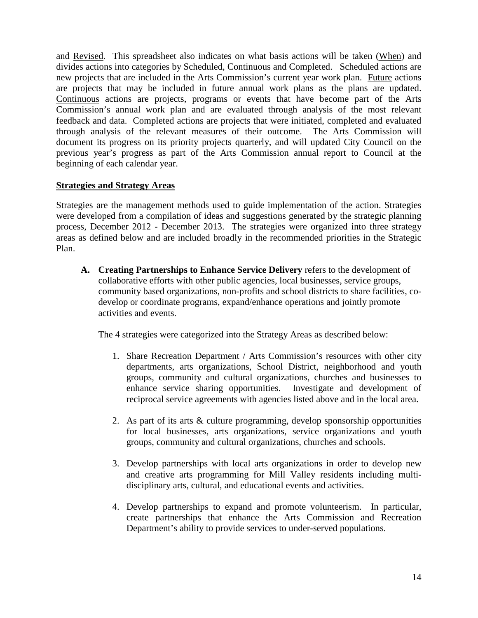and Revised. This spreadsheet also indicates on what basis actions will be taken (When) and divides actions into categories by Scheduled, Continuous and Completed. Scheduled actions are new projects that are included in the Arts Commission's current year work plan. Future actions are projects that may be included in future annual work plans as the plans are updated. Continuous actions are projects, programs or events that have become part of the Arts Commission's annual work plan and are evaluated through analysis of the most relevant feedback and data. Completed actions are projects that were initiated, completed and evaluated through analysis of the relevant measures of their outcome. The Arts Commission will document its progress on its priority projects quarterly, and will updated City Council on the previous year's progress as part of the Arts Commission annual report to Council at the beginning of each calendar year.

#### **Strategies and Strategy Areas**

Strategies are the management methods used to guide implementation of the action. Strategies were developed from a compilation of ideas and suggestions generated by the strategic planning process, December 2012 - December 2013. The strategies were organized into three strategy areas as defined below and are included broadly in the recommended priorities in the Strategic Plan.

**A. Creating Partnerships to Enhance Service Delivery** refers to the development of collaborative efforts with other public agencies, local businesses, service groups, community based organizations, non-profits and school districts to share facilities, codevelop or coordinate programs, expand/enhance operations and jointly promote activities and events.

The 4 strategies were categorized into the Strategy Areas as described below:

- 1. Share Recreation Department / Arts Commission's resources with other city departments, arts organizations, School District, neighborhood and youth groups, community and cultural organizations, churches and businesses to enhance service sharing opportunities. Investigate and development of reciprocal service agreements with agencies listed above and in the local area.
- 2. As part of its arts & culture programming, develop sponsorship opportunities for local businesses, arts organizations, service organizations and youth groups, community and cultural organizations, churches and schools.
- 3. Develop partnerships with local arts organizations in order to develop new and creative arts programming for Mill Valley residents including multidisciplinary arts, cultural, and educational events and activities.
- 4. Develop partnerships to expand and promote volunteerism. In particular, create partnerships that enhance the Arts Commission and Recreation Department's ability to provide services to under-served populations.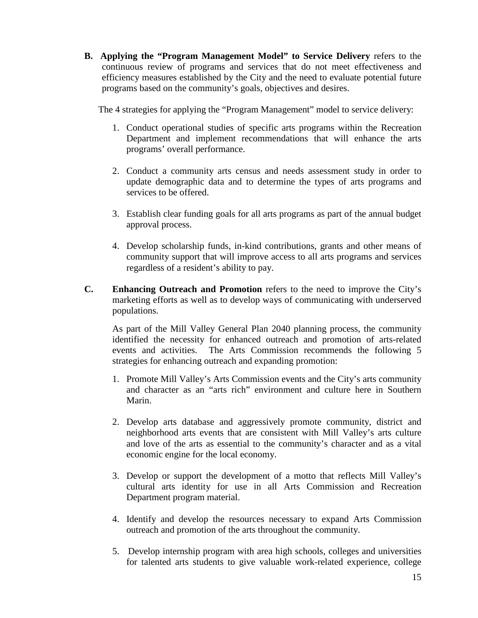**B. Applying the "Program Management Model" to Service Delivery** refers to the continuous review of programs and services that do not meet effectiveness and efficiency measures established by the City and the need to evaluate potential future programs based on the community's goals, objectives and desires.

The 4 strategies for applying the "Program Management" model to service delivery:

- 1. Conduct operational studies of specific arts programs within the Recreation Department and implement recommendations that will enhance the arts programs' overall performance.
- 2. Conduct a community arts census and needs assessment study in order to update demographic data and to determine the types of arts programs and services to be offered.
- 3. Establish clear funding goals for all arts programs as part of the annual budget approval process.
- 4. Develop scholarship funds, in-kind contributions, grants and other means of community support that will improve access to all arts programs and services regardless of a resident's ability to pay.
- **C. Enhancing Outreach and Promotion** refers to the need to improve the City's marketing efforts as well as to develop ways of communicating with underserved populations.

As part of the Mill Valley General Plan 2040 planning process, the community identified the necessity for enhanced outreach and promotion of arts-related events and activities. The Arts Commission recommends the following 5 strategies for enhancing outreach and expanding promotion:

- 1. Promote Mill Valley's Arts Commission events and the City's arts community and character as an "arts rich" environment and culture here in Southern Marin.
- 2. Develop arts database and aggressively promote community, district and neighborhood arts events that are consistent with Mill Valley's arts culture and love of the arts as essential to the community's character and as a vital economic engine for the local economy.
- 3. Develop or support the development of a motto that reflects Mill Valley's cultural arts identity for use in all Arts Commission and Recreation Department program material.
- 4. Identify and develop the resources necessary to expand Arts Commission outreach and promotion of the arts throughout the community.
- 5. Develop internship program with area high schools, colleges and universities for talented arts students to give valuable work-related experience, college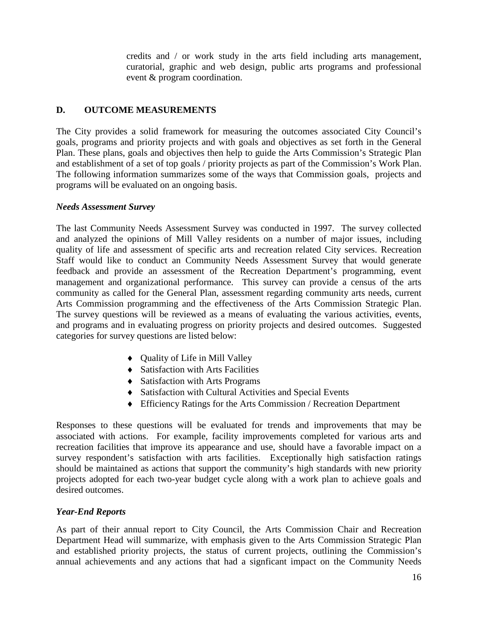credits and / or work study in the arts field including arts management, curatorial, graphic and web design, public arts programs and professional event & program coordination.

#### **D. OUTCOME MEASUREMENTS**

The City provides a solid framework for measuring the outcomes associated City Council's goals, programs and priority projects and with goals and objectives as set forth in the General Plan. These plans, goals and objectives then help to guide the Arts Commission's Strategic Plan and establishment of a set of top goals / priority projects as part of the Commission's Work Plan. The following information summarizes some of the ways that Commission goals, projects and programs will be evaluated on an ongoing basis.

#### *Needs Assessment Survey*

The last Community Needs Assessment Survey was conducted in 1997. The survey collected and analyzed the opinions of Mill Valley residents on a number of major issues, including quality of life and assessment of specific arts and recreation related City services. Recreation Staff would like to conduct an Community Needs Assessment Survey that would generate feedback and provide an assessment of the Recreation Department's programming, event management and organizational performance. This survey can provide a census of the arts community as called for the General Plan, assessment regarding community arts needs, current Arts Commission programming and the effectiveness of the Arts Commission Strategic Plan. The survey questions will be reviewed as a means of evaluating the various activities, events, and programs and in evaluating progress on priority projects and desired outcomes. Suggested categories for survey questions are listed below:

- ♦ Quality of Life in Mill Valley
- ♦ Satisfaction with Arts Facilities
- ♦ Satisfaction with Arts Programs
- ♦ Satisfaction with Cultural Activities and Special Events
- ♦ Efficiency Ratings for the Arts Commission / Recreation Department

Responses to these questions will be evaluated for trends and improvements that may be associated with actions. For example, facility improvements completed for various arts and recreation facilities that improve its appearance and use, should have a favorable impact on a survey respondent's satisfaction with arts facilities. Exceptionally high satisfaction ratings should be maintained as actions that support the community's high standards with new priority projects adopted for each two-year budget cycle along with a work plan to achieve goals and desired outcomes.

#### *Year-End Reports*

As part of their annual report to City Council, the Arts Commission Chair and Recreation Department Head will summarize, with emphasis given to the Arts Commission Strategic Plan and established priority projects, the status of current projects, outlining the Commission's annual achievements and any actions that had a signficant impact on the Community Needs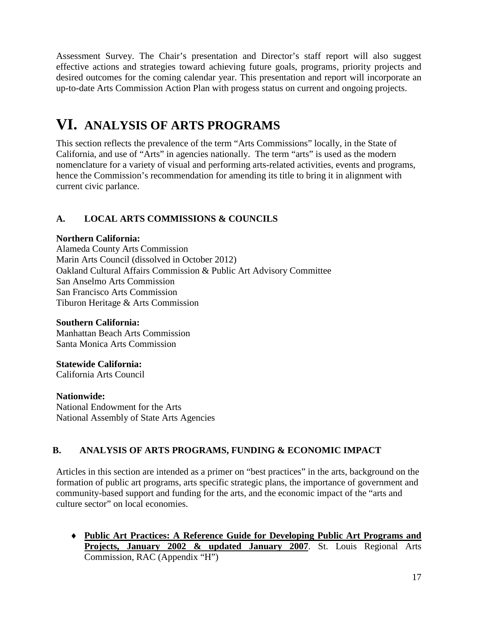Assessment Survey. The Chair's presentation and Director's staff report will also suggest effective actions and strategies toward achieving future goals, programs, priority projects and desired outcomes for the coming calendar year. This presentation and report will incorporate an up-to-date Arts Commission Action Plan with progess status on current and ongoing projects.

# **VI. ANALYSIS OF ARTS PROGRAMS**

This section reflects the prevalence of the term "Arts Commissions" locally, in the State of California, and use of "Arts" in agencies nationally. The term "arts" is used as the modern nomenclature for a variety of visual and performing arts-related activities, events and programs, hence the Commission's recommendation for amending its title to bring it in alignment with current civic parlance.

## **A. LOCAL ARTS COMMISSIONS & COUNCILS**

## **Northern California:**

Alameda County Arts Commission Marin Arts Council (dissolved in October 2012) Oakland Cultural Affairs Commission & Public Art Advisory Committee San Anselmo Arts Commission San Francisco Arts Commission Tiburon Heritage & Arts Commission

## **Southern California:**

Manhattan Beach Arts Commission Santa Monica Arts Commission

## **Statewide California:**

California Arts Council

## **Nationwide:**

National Endowment for the Arts National Assembly of State Arts Agencies

## **B. ANALYSIS OF ARTS PROGRAMS, FUNDING & ECONOMIC IMPACT**

Articles in this section are intended as a primer on "best practices" in the arts, background on the formation of public art programs, arts specific strategic plans, the importance of government and community-based support and funding for the arts, and the economic impact of the "arts and culture sector" on local economies.

♦ **Public Art Practices: A Reference Guide for Developing Public Art Programs and Projects, January 2002 & updated January 2007**. St. Louis Regional Arts Commission, RAC (Appendix "H")